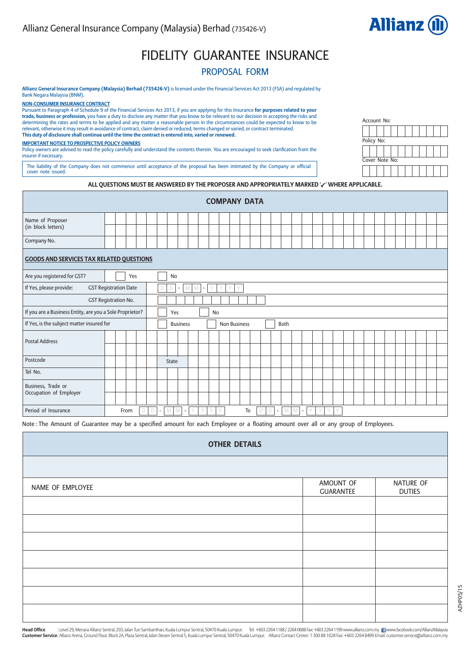

Account No:

Policy No:

Cover Note No:

# FIDELITY GUARANTEE INSURANCE

# PROPOSAL FORM

**Allianz General Insurance Company (Malaysia) Berhad (735426-V)** is licensed under the Financial Services Act 2013 (FSA) and regulated by Bank Negara Malaysia (BNM).

**NON-CONSUMER INSURANCE CONTRACT**

Pursuant to Paragraph 4 of Schedule 9 of the Financial Services Act 2013, if you are applying for this Insurance **for purposes related to your trade, business or profession,** you have a duty to disclose any matter that you know to be relevant to our decision in accepting the risks and<br>determining the rates and terms to be applied and any matter a reasonable pers **This duty of disclosure shall continue until the time the contract is entered into, varied or renewed.**

### **IMPORTANT NOTICE TO PROSPECTIVE POLICY OWNERS**

Policy owners are advised to read the policy carefully and understand the contents therein. You are encouraged to seek clarification from the insurer if necessary.

The liability of the Company does not commence until acceptance of the proposal has been intimated by the Company or official cover note issued.

### **ALL QUESTIONS MUST BE ANSWERED BY THE PROPOSER AND APPROPRIATELY MARKED ' ' WHERE APPLICABLE.**

|                                                                                                                                     | <b>COMPANY DATA</b>         |  |  |  |  |  |              |                 |  |  |    |                     |  |  |  |      |  |  |  |  |  |  |  |  |
|-------------------------------------------------------------------------------------------------------------------------------------|-----------------------------|--|--|--|--|--|--------------|-----------------|--|--|----|---------------------|--|--|--|------|--|--|--|--|--|--|--|--|
| Name of Proposer<br>(in block letters)                                                                                              |                             |  |  |  |  |  |              |                 |  |  |    |                     |  |  |  |      |  |  |  |  |  |  |  |  |
| Company No.                                                                                                                         |                             |  |  |  |  |  |              |                 |  |  |    |                     |  |  |  |      |  |  |  |  |  |  |  |  |
| <b>GOODS AND SERVICES TAX RELATED QUESTIONS</b>                                                                                     |                             |  |  |  |  |  |              |                 |  |  |    |                     |  |  |  |      |  |  |  |  |  |  |  |  |
| Are you registered for GST?<br>Yes<br><b>No</b>                                                                                     |                             |  |  |  |  |  |              |                 |  |  |    |                     |  |  |  |      |  |  |  |  |  |  |  |  |
| <b>GST Registration Date</b><br>If Yes, please provide:<br>Y<br>D<br>$\mathbb{N}^+$<br>M<br>V<br>D<br>$\vee$<br>$\sim$<br>$\sim$    |                             |  |  |  |  |  |              |                 |  |  |    |                     |  |  |  |      |  |  |  |  |  |  |  |  |
|                                                                                                                                     | <b>GST Registration No.</b> |  |  |  |  |  |              |                 |  |  |    |                     |  |  |  |      |  |  |  |  |  |  |  |  |
| If you are a Business Entity, are you a Sole Proprietor?                                                                            |                             |  |  |  |  |  | Yes          |                 |  |  | No |                     |  |  |  |      |  |  |  |  |  |  |  |  |
| If Yes, is the subject matter insured for                                                                                           |                             |  |  |  |  |  |              | <b>Business</b> |  |  |    | <b>Non Business</b> |  |  |  | Both |  |  |  |  |  |  |  |  |
| <b>Postal Address</b>                                                                                                               |                             |  |  |  |  |  |              |                 |  |  |    |                     |  |  |  |      |  |  |  |  |  |  |  |  |
| Postcode                                                                                                                            |                             |  |  |  |  |  | <b>State</b> |                 |  |  |    |                     |  |  |  |      |  |  |  |  |  |  |  |  |
| Tel No.                                                                                                                             |                             |  |  |  |  |  |              |                 |  |  |    |                     |  |  |  |      |  |  |  |  |  |  |  |  |
| Business, Trade or<br>Occupation of Employer                                                                                        |                             |  |  |  |  |  |              |                 |  |  |    |                     |  |  |  |      |  |  |  |  |  |  |  |  |
| Period of Insurance<br>To<br>From<br>D<br>M<br>M<br>$\vee$<br>V<br>M<br>Y<br>V<br>Y<br>V<br>D<br>D<br>M<br>$\blacksquare$<br>٠<br>٠ |                             |  |  |  |  |  |              |                 |  |  |    |                     |  |  |  |      |  |  |  |  |  |  |  |  |

Note : The Amount of Guarantee may be a specified amount for each Employee or a floating amount over all or any group of Employees.

| <b>OTHER DETAILS</b> |                               |                            |
|----------------------|-------------------------------|----------------------------|
|                      |                               |                            |
| NAME OF EMPLOYEE     | AMOUNT OF<br><b>GUARANTEE</b> | NATURE OF<br><b>DUTIES</b> |
|                      |                               |                            |
|                      |                               |                            |
|                      |                               |                            |
|                      |                               |                            |
|                      |                               |                            |
|                      |                               |                            |
|                      |                               |                            |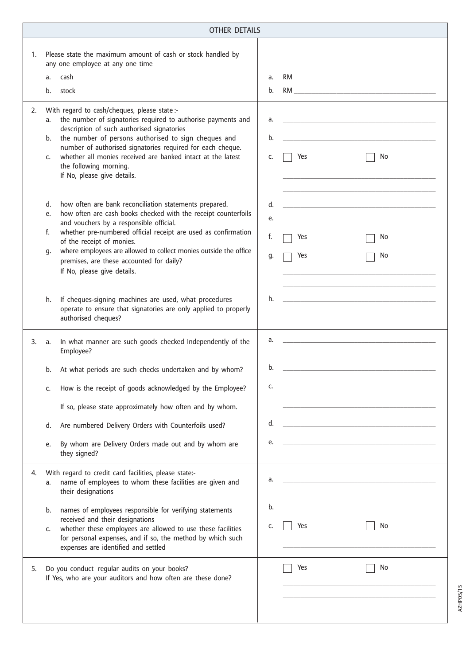|    | <b>OTHER DETAILS</b>                                                                                                                                                                                                                                                                                                                                                                                                                      |                                                                                                                                    |
|----|-------------------------------------------------------------------------------------------------------------------------------------------------------------------------------------------------------------------------------------------------------------------------------------------------------------------------------------------------------------------------------------------------------------------------------------------|------------------------------------------------------------------------------------------------------------------------------------|
| 1. | Please state the maximum amount of cash or stock handled by<br>any one employee at any one time<br>cash<br>a.<br>b.<br>stock                                                                                                                                                                                                                                                                                                              | a.<br>b.                                                                                                                           |
| 2. | With regard to cash/cheques, please state :-<br>the number of signatories required to authorise payments and<br>a.<br>description of such authorised signatories<br>the number of persons authorised to sign cheques and<br>b.<br>number of authorised signatories required for each cheque.<br>whether all monies received are banked intact at the latest<br>c.<br>the following morning.<br>If No, please give details.                | a.<br>b.<br>Yes<br>No<br>c.                                                                                                        |
|    | how often are bank reconciliation statements prepared.<br>d.<br>how often are cash books checked with the receipt counterfoils<br>e.<br>and vouchers by a responsible official.<br>whether pre-numbered official receipt are used as confirmation<br>f.<br>of the receipt of monies.<br>where employees are allowed to collect monies outside the office<br>g.<br>premises, are these accounted for daily?<br>If No, please give details. | d.<br>e.<br>f.<br>No<br>Yes<br>Yes<br>No<br>g.                                                                                     |
|    | h.<br>If cheques-signing machines are used, what procedures<br>operate to ensure that signatories are only applied to properly<br>authorised cheques?                                                                                                                                                                                                                                                                                     | h.                                                                                                                                 |
| 3. | In what manner are such goods checked Independently of the<br>a.<br>Employee?                                                                                                                                                                                                                                                                                                                                                             | a.                                                                                                                                 |
|    | At what periods are such checks undertaken and by whom?<br>b.                                                                                                                                                                                                                                                                                                                                                                             | b.                                                                                                                                 |
|    | How is the receipt of goods acknowledged by the Employee?<br>c.                                                                                                                                                                                                                                                                                                                                                                           | c.                                                                                                                                 |
|    | If so, please state approximately how often and by whom.                                                                                                                                                                                                                                                                                                                                                                                  |                                                                                                                                    |
|    | Are numbered Delivery Orders with Counterfoils used?<br>d.                                                                                                                                                                                                                                                                                                                                                                                | d.                                                                                                                                 |
|    | By whom are Delivery Orders made out and by whom are<br>e.<br>they signed?                                                                                                                                                                                                                                                                                                                                                                | e.                                                                                                                                 |
| 4. | With regard to credit card facilities, please state:-<br>name of employees to whom these facilities are given and<br>a.<br>their designations<br>names of employees responsible for verifying statements<br>b.                                                                                                                                                                                                                            | a.<br><u> 1980 - Johann John Harry Harry Harry Harry Harry Harry Harry Harry Harry Harry Harry Harry Harry Harry Harry H</u><br>b. |
|    | received and their designations<br>whether these employees are allowed to use these facilities<br>c.<br>for personal expenses, and if so, the method by which such<br>expenses are identified and settled                                                                                                                                                                                                                                 | Yes<br>No<br>c.                                                                                                                    |
| 5. | Do you conduct regular audits on your books?<br>If Yes, who are your auditors and how often are these done?                                                                                                                                                                                                                                                                                                                               | Yes<br>No                                                                                                                          |

AZHP05/15 AZHP05/15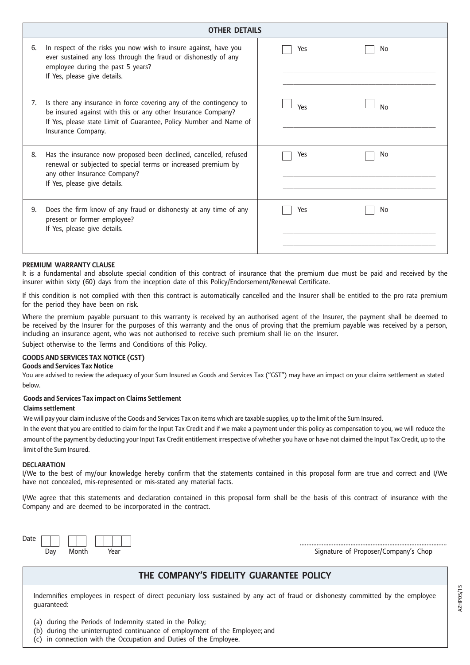|    | <b>OTHER DETAILS</b>                                                                                                                                                                                                           |            |
|----|--------------------------------------------------------------------------------------------------------------------------------------------------------------------------------------------------------------------------------|------------|
| 6. | In respect of the risks you now wish to insure against, have you<br>ever sustained any loss through the fraud or dishonestly of any<br>employee during the past 5 years?<br>If Yes, please give details.                       | Yes<br>No. |
| 7. | Is there any insurance in force covering any of the contingency to<br>be insured against with this or any other Insurance Company?<br>If Yes, please state Limit of Guarantee, Policy Number and Name of<br>Insurance Company. | Yes<br>No  |
| 8. | Has the insurance now proposed been declined, cancelled, refused<br>renewal or subjected to special terms or increased premium by<br>any other Insurance Company?<br>If Yes, please give details.                              | Yes<br>No. |
| 9. | Does the firm know of any fraud or dishonesty at any time of any<br>present or former employee?<br>If Yes, please give details.                                                                                                | Yes<br>No  |

### **PREMIUM WARRANTY CLAUSE**

It is a fundamental and absolute special condition of this contract of insurance that the premium due must be paid and received by the insurer within sixty (60) days from the inception date of this Policy/Endorsement/Renewal Certificate.

If this condition is not complied with then this contract is automatically cancelled and the Insurer shall be entitled to the pro rata premium for the period they have been on risk.

Where the premium payable pursuant to this warranty is received by an authorised agent of the Insurer, the payment shall be deemed to be received by the Insurer for the purposes of this warranty and the onus of proving that the premium payable was received by a person, including an insurance agent, who was not authorised to receive such premium shall lie on the Insurer.

Subject otherwise to the Terms and Conditions of this Policy.

## **GOODS AND SERVICES TAX NOTICE (GST)**

## **Goods and Services Tax Notice**

You are advised to review the adequacy of your Sum Insured as Goods and Services Tax ("GST") may have an impact on your claims settlement as stated below.

### **Goods and Services Tax impact on Claims Settlement**

### **Claims settlement**

We will pay your claim inclusive of the Goods and Services Tax on items which are taxable supplies, up to the limit of the Sum Insured.

In the event that you are entitled to claim for the Input Tax Credit and if we make a payment under this policy as compensation to you, we will reduce the amount of the payment by deducting your Input Tax Credit entitlement irrespective of whether you have or have not claimed the Input Tax Credit, up to the limit of the Sum Insured.

### **DECLARATION**

I/We to the best of my/our knowledge hereby confirm that the statements contained in this proposal form are true and correct and I/We have not concealed, mis-represented or mis-stated any material facts.

I/We agree that this statements and declaration contained in this proposal form shall be the basis of this contract of insurance with the Company and are deemed to be incorporated in the contract.



....................................................................................... Signature of Proposer/Company's Chop

# **THE COMPANY'S FIDELITY GUARANTEE POLICY**

Indemnifies employees in respect of direct pecuniary loss sustained by any act of fraud or dishonesty committed by the employee guaranteed:

- (a) during the Periods of Indemnity stated in the Policy;
- (b) during the uninterrupted continuance of employment of the Employee; and
- (c) in connection with the Occupation and Duties of the Employee.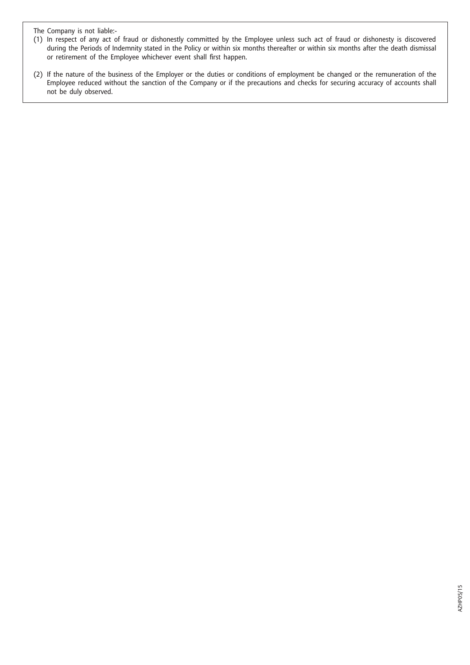The Company is not liable:-

- (1) In respect of any act of fraud or dishonestly committed by the Employee unless such act of fraud or dishonesty is discovered during the Periods of Indemnity stated in the Policy or within six months thereafter or within six months after the death dismissal or retirement of the Employee whichever event shall first happen.
- (2) If the nature of the business of the Employer or the duties or conditions of employment be changed or the remuneration of the Employee reduced without the sanction of the Company or if the precautions and checks for securing accuracy of accounts shall not be duly observed.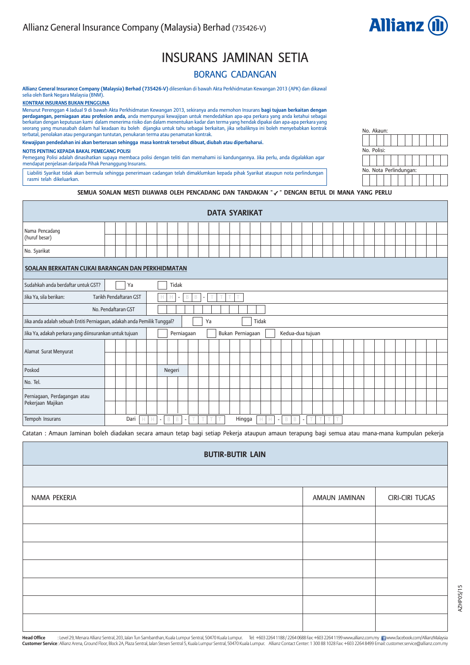

# INSURANS JAMINAN SETIA

# BORANG CADANGAN

**Allianz General Insurance Company (Malaysia) Berhad (735426-V)** dilesenkan di bawah Akta Perkhidmatan Kewangan 2013 (APK) dan dikawal selia oleh Bank Negara Malaysia (BNM).

**KONTRAK INSURANS BUKAN PENGGUNA**

Menurut Perenggan 4 Jadual 9 di bawah Akta Perkhidmatan Kewangan 2013, sekiranya anda memohon Insurans **bagi tujuan berkaitan dengan perdagangan, perniagaan atau profesion anda,** anda mempunyai kewajipan untuk mendedahkan apa-apa perkara yang anda ketahui sebagai<br>berkaitan dengan keputusan kami dalam menerima risiko dan dalam menentukan kadar dan terma seorang yang munasabah dalam hal keadaan itu boleh dijangka untuk tahu sebagai berkaitan, jika sebaliknya ini boleh menyebabkan kontrak terbatal, penolakan atau pengurangan tuntutan, penukaran terma atau penamatan kontrak.

**Kewajipan pendedahan ini akan berterusan sehingga masa kontrak tersebut dibuat, diubah atau diperbaharui.**

#### **NOTIS PENTING KEPADA BAKAL PEMEGANG POLISI**

Pemegang Polisi adalah dinasihatkan supaya membaca polisi dengan teliti dan memahami isi kandungannya. Jika perlu, anda digalakkan agar mendapat penjelasan daripada Pihak Penanggung Insurans.

Liabiliti Syarikat tidak akan bermula sehingga penerimaan cadangan telah dimaklumkan kepada pihak Syarikat ataupun nota perlindungan rasmi telah dikeluarkan.

| No. Akaun:  |  |                        |  |  |  |
|-------------|--|------------------------|--|--|--|
|             |  |                        |  |  |  |
| No. Polisi: |  |                        |  |  |  |
|             |  |                        |  |  |  |
|             |  | No. Nota Perlindungan: |  |  |  |
|             |  |                        |  |  |  |

### SEMUA SOALAN MESTI DIJAWAB OLEH PENCADANG DAN TANDAKAN " $\checkmark$ " DENGAN BETUL DI MANA YANG PERLU

| <b>DATA SYARIKAT</b>                                                    |                                                                                                   |  |    |  |  |   |        |            |   |    |  |  |                  |       |  |                  |  |  |  |  |  |  |  |
|-------------------------------------------------------------------------|---------------------------------------------------------------------------------------------------|--|----|--|--|---|--------|------------|---|----|--|--|------------------|-------|--|------------------|--|--|--|--|--|--|--|
| Nama Pencadang<br>(huruf besar)                                         |                                                                                                   |  |    |  |  |   |        |            |   |    |  |  |                  |       |  |                  |  |  |  |  |  |  |  |
| No. Syarikat                                                            |                                                                                                   |  |    |  |  |   |        |            |   |    |  |  |                  |       |  |                  |  |  |  |  |  |  |  |
| SOALAN BERKAITAN CUKAI BARANGAN DAN PERKHIDMATAN                        |                                                                                                   |  |    |  |  |   |        |            |   |    |  |  |                  |       |  |                  |  |  |  |  |  |  |  |
| Sudahkah anda berdaftar untuk GST?                                      |                                                                                                   |  | Ya |  |  |   | Tidak  |            |   |    |  |  |                  |       |  |                  |  |  |  |  |  |  |  |
| Tarikh Pendaftaran GST<br>Jika Ya, sila berikan:                        |                                                                                                   |  |    |  |  | Н | н      | B<br>٠     | B | ٠  |  |  |                  |       |  |                  |  |  |  |  |  |  |  |
| No. Pendaftaran GST                                                     |                                                                                                   |  |    |  |  |   |        |            |   |    |  |  |                  |       |  |                  |  |  |  |  |  |  |  |
| Jika anda adalah sebuah Entiti Perniagaan, adakah anda Pemilik Tunggal? |                                                                                                   |  |    |  |  |   |        |            |   | Ya |  |  |                  | Tidak |  |                  |  |  |  |  |  |  |  |
| Jika Ya, adakah perkara yang diinsurankan untuk tujuan                  |                                                                                                   |  |    |  |  |   |        | Perniagaan |   |    |  |  | Bukan Perniagaan |       |  | Kedua-dua tujuan |  |  |  |  |  |  |  |
| Alamat Surat Menyurat                                                   |                                                                                                   |  |    |  |  |   |        |            |   |    |  |  |                  |       |  |                  |  |  |  |  |  |  |  |
|                                                                         |                                                                                                   |  |    |  |  |   |        |            |   |    |  |  |                  |       |  |                  |  |  |  |  |  |  |  |
| Poskod                                                                  |                                                                                                   |  |    |  |  |   | Negeri |            |   |    |  |  |                  |       |  |                  |  |  |  |  |  |  |  |
| No. Tel.                                                                |                                                                                                   |  |    |  |  |   |        |            |   |    |  |  |                  |       |  |                  |  |  |  |  |  |  |  |
| Perniagaan, Perdagangan atau                                            |                                                                                                   |  |    |  |  |   |        |            |   |    |  |  |                  |       |  |                  |  |  |  |  |  |  |  |
| Pekerjaan Majikan                                                       |                                                                                                   |  |    |  |  |   |        |            |   |    |  |  |                  |       |  |                  |  |  |  |  |  |  |  |
| Tempoh Insurans                                                         | Dari<br>Hingga<br>B<br>T<br>B<br>B<br>Н<br>B<br>Н<br>н<br>$\overline{a}$<br>$\sim$<br>٠<br>$\sim$ |  |    |  |  |   |        |            |   |    |  |  |                  |       |  |                  |  |  |  |  |  |  |  |

Catatan : Amaun Jaminan boleh diadakan secara amaun tetap bagi setiap Pekerja ataupun amaun terapung bagi semua atau mana-mana kumpulan pekerja

| <b>BUTIR-BUTIR LAIN</b> |               |                 |
|-------------------------|---------------|-----------------|
|                         |               |                 |
| NAMA PEKERJA            | AMAUN JAMINAN | CIRI-CIRI TUGAS |
|                         |               |                 |
|                         |               |                 |
|                         |               |                 |
|                         |               |                 |
|                         |               |                 |
|                         |               |                 |
|                         |               |                 |

: Level 29, Menara Allianz Sentral, 203, Jalan Tun Sambanthan, Kuala Lumpur Sentral, 50470 Kuala Lumpur. Tel: +603 2264 1188 / 2264 0688 Fax: +603 2264 1199 www.allianz.com.my www.facebook.com/AllianzMalaysia **Customer Service**: Allianz Arena, Ground Floor, Block 2A, Plaza Sentral, Jalan Stesen Sentral 5, Kuala Lumpur Sentral, 50470 Kuala Lumpur. Allianz Contact Center: 1 300 88 1028 Fax: +603 2264 8499 Email: customer.service@ **Head Office**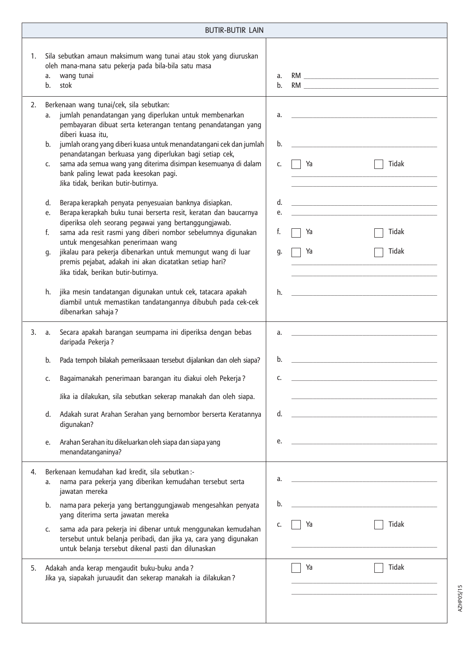|    |                                        | <b>BUTIR-BUTIR LAIN</b>                                                                                                                                                                                                                                                                                                                                                                                                                                                                                                                                                                                                                                                                                                                                                                                                                                                                                                                  |                                        |                |                                                                                                                                                  |
|----|----------------------------------------|------------------------------------------------------------------------------------------------------------------------------------------------------------------------------------------------------------------------------------------------------------------------------------------------------------------------------------------------------------------------------------------------------------------------------------------------------------------------------------------------------------------------------------------------------------------------------------------------------------------------------------------------------------------------------------------------------------------------------------------------------------------------------------------------------------------------------------------------------------------------------------------------------------------------------------------|----------------------------------------|----------------|--------------------------------------------------------------------------------------------------------------------------------------------------|
| 1. | a.<br>b.                               | Sila sebutkan amaun maksimum wang tunai atau stok yang diuruskan<br>oleh mana-mana satu pekerja pada bila-bila satu masa<br>wang tunai<br>stok                                                                                                                                                                                                                                                                                                                                                                                                                                                                                                                                                                                                                                                                                                                                                                                           | a.<br>b.                               |                |                                                                                                                                                  |
| 2. | a.<br>b.<br>c.<br>d.<br>e.<br>f.<br>q. | Berkenaan wang tunai/cek, sila sebutkan:<br>jumlah penandatangan yang diperlukan untuk membenarkan<br>pembayaran dibuat serta keterangan tentang penandatangan yang<br>diberi kuasa itu.<br>jumlah orang yang diberi kuasa untuk menandatangani cek dan jumlah<br>penandatangan berkuasa yang diperlukan bagi setiap cek,<br>sama ada semua wang yang diterima disimpan kesemuanya di dalam<br>bank paling lewat pada keesokan pagi.<br>Jika tidak, berikan butir-butirnya.<br>Berapa kerapkah penyata penyesuaian banknya disiapkan.<br>Berapa kerapkah buku tunai berserta resit, keratan dan baucarnya<br>diperiksa oleh seorang pegawai yang bertanggungjawab.<br>sama ada resit rasmi yang diberi nombor sebelumnya digunakan<br>untuk mengesahkan penerimaan wang<br>jikalau para pekerja dibenarkan untuk memungut wang di luar<br>premis pejabat, adakah ini akan dicatatkan setiap hari?<br>Jika tidak, berikan butir-butirnya. | a.<br>b.<br>C.<br>d.<br>e.<br>f.<br>q. | Ya<br>Ya<br>Ya | <u> 2000 - Jan James James James James James James James James James James James James James James James James Ja</u><br>Tidak<br>Tidak<br>Tidak |
|    | h.                                     | jika mesin tandatangan digunakan untuk cek, tatacara apakah<br>diambil untuk memastikan tandatangannya dibubuh pada cek-cek<br>dibenarkan sahaja?                                                                                                                                                                                                                                                                                                                                                                                                                                                                                                                                                                                                                                                                                                                                                                                        | h.                                     |                | <u> 1980 - Jan Samuel Barbara, margaret e</u> n 1980 eta 1980 - Antonio Barbara, espainiar eta 1980 - Antonio Barbara,                           |
| 3. | a.                                     | Secara apakah barangan seumpama ini diperiksa dengan bebas<br>daripada Pekerja?                                                                                                                                                                                                                                                                                                                                                                                                                                                                                                                                                                                                                                                                                                                                                                                                                                                          | a.                                     |                |                                                                                                                                                  |
|    | b.                                     | Pada tempoh bilakah pemeriksaaan tersebut dijalankan dan oleh siapa?                                                                                                                                                                                                                                                                                                                                                                                                                                                                                                                                                                                                                                                                                                                                                                                                                                                                     | b.                                     |                |                                                                                                                                                  |
|    | c.                                     | Bagaimanakah penerimaan barangan itu diakui oleh Pekerja?<br>Jika ia dilakukan, sila sebutkan sekerap manakah dan oleh siapa.                                                                                                                                                                                                                                                                                                                                                                                                                                                                                                                                                                                                                                                                                                                                                                                                            | c.                                     |                |                                                                                                                                                  |
|    | d.                                     | Adakah surat Arahan Serahan yang bernombor berserta Keratannya<br>digunakan?                                                                                                                                                                                                                                                                                                                                                                                                                                                                                                                                                                                                                                                                                                                                                                                                                                                             | d.                                     |                |                                                                                                                                                  |
|    | e.                                     | Arahan Serahan itu dikeluarkan oleh siapa dan siapa yang<br>menandatanganinya?                                                                                                                                                                                                                                                                                                                                                                                                                                                                                                                                                                                                                                                                                                                                                                                                                                                           | e.                                     |                |                                                                                                                                                  |
| 4. | a.<br>b.                               | Berkenaan kemudahan kad kredit, sila sebutkan:-<br>nama para pekerja yang diberikan kemudahan tersebut serta<br>jawatan mereka<br>nama para pekerja yang bertanggungjawab mengesahkan penyata                                                                                                                                                                                                                                                                                                                                                                                                                                                                                                                                                                                                                                                                                                                                            | a.<br>b.                               |                |                                                                                                                                                  |
|    | c.                                     | yang diterima serta jawatan mereka<br>sama ada para pekerja ini dibenar untuk menggunakan kemudahan<br>tersebut untuk belanja peribadi, dan jika ya, cara yang digunakan<br>untuk belanja tersebut dikenal pasti dan dilunaskan                                                                                                                                                                                                                                                                                                                                                                                                                                                                                                                                                                                                                                                                                                          | c.                                     | Ya             | Tidak                                                                                                                                            |
| 5. |                                        | Adakah anda kerap mengaudit buku-buku anda?<br>Jika ya, siapakah juruaudit dan sekerap manakah ia dilakukan?                                                                                                                                                                                                                                                                                                                                                                                                                                                                                                                                                                                                                                                                                                                                                                                                                             |                                        | Ya             | Tidak                                                                                                                                            |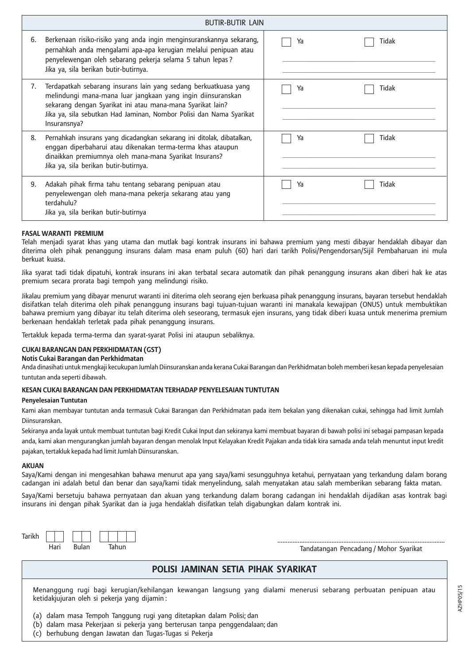|    | <b>BUTIR-BUTIR LAIN</b>                                                                                                                                                                                                                                                              |             |  |
|----|--------------------------------------------------------------------------------------------------------------------------------------------------------------------------------------------------------------------------------------------------------------------------------------|-------------|--|
| 6. | Berkenaan risiko-risiko yang anda ingin menginsuranskannya sekarang,<br>pernahkah anda mengalami apa-apa kerugian melalui penipuan atau<br>penyelewengan oleh sebarang pekerja selama 5 tahun lepas?<br>Jika ya, sila berikan butir-butirnya.                                        | Tidak<br>Ya |  |
| 7. | Terdapatkah sebarang insurans lain yang sedang berkuatkuasa yang<br>melindungi mana-mana luar jangkaan yang ingin diinsuranskan<br>sekarang dengan Syarikat ini atau mana-mana Syarikat lain?<br>Jika ya, sila sebutkan Had Jaminan, Nombor Polisi dan Nama Syarikat<br>Insuransnya? | Tidak<br>Ya |  |
| 8. | Pernahkah insurans yang dicadangkan sekarang ini ditolak, dibatalkan,<br>enggan diperbaharui atau dikenakan terma-terma khas ataupun<br>dinaikkan premiumnya oleh mana-mana Syarikat Insurans?<br>Jika ya, sila berikan butir-butirnya.                                              | Tidak<br>Ya |  |
| 9. | Adakah pihak firma tahu tentang sebarang penipuan atau<br>penyelewengan oleh mana-mana pekerja sekarang atau yang<br>terdahulu?<br>Jika ya, sila berikan butir-butirnya                                                                                                              | Tidak<br>Ya |  |

### **FASAL WARANTI PREMIUM**

Telah menjadi syarat khas yang utama dan mutlak bagi kontrak insurans ini bahawa premium yang mesti dibayar hendaklah dibayar dan diterima oleh pihak penanggung insurans dalam masa enam puluh (60) hari dari tarikh Polisi/Pengendorsan/Sijil Pembaharuan ini mula berkuat kuasa.

Jika syarat tadi tidak dipatuhi, kontrak insurans ini akan terbatal secara automatik dan pihak penanggung insurans akan diberi hak ke atas premium secara prorata bagi tempoh yang melindungi risiko.

Jikalau premium yang dibayar menurut waranti ini diterima oleh seorang ejen berkuasa pihak penanggung insurans, bayaran tersebut hendaklah disifatkan telah diterima oleh pihak penanggung insurans bagi tujuan-tujuan waranti ini manakala kewajipan (ONUS) untuk membuktikan bahawa premium yang dibayar itu telah diterima oleh seseorang, termasuk ejen insurans, yang tidak diberi kuasa untuk menerima premium berkenaan hendaklah terletak pada pihak penanggung insurans.

Tertakluk kepada terma-terma dan syarat-syarat Polisi ini ataupun sebaliknya.

### **CUKAI BARANGAN DAN PERKHIDMATAN (GST)**

### **Notis Cukai Barangan dan Perkhidmatan**

Anda dinasihati untuk mengkaji kecukupan Jumlah Diinsuranskan anda kerana Cukai Barangan dan Perkhidmatan boleh memberi kesan kepada penyelesaian tuntutan anda seperti dibawah.

### **KESAN CUKAI BARANGAN DAN PERKHIDMATAN TERHADAP PENYELESAIAN TUNTUTAN**

### **Penyelesaian Tuntutan**

Kami akan membayar tuntutan anda termasuk Cukai Barangan dan Perkhidmatan pada item bekalan yang dikenakan cukai, sehingga had limit Jumlah Diinsuranskan.

Sekiranya anda layak untuk membuat tuntutan bagi Kredit Cukai Input dan sekiranya kami membuat bayaran di bawah polisi ini sebagai pampasan kepada anda, kami akan mengurangkan jumlah bayaran dengan menolak Input Kelayakan Kredit Pajakan anda tidak kira samada anda telah menuntut input kredit

pajakan, tertakluk kepada had limit Jumlah Diinsuranskan.

## **AKUAN**

Saya/Kami dengan ini mengesahkan bahawa menurut apa yang saya/kami sesungguhnya ketahui, pernyataan yang terkandung dalam borang cadangan ini adalah betul dan benar dan saya/kami tidak menyelindung, salah menyatakan atau salah memberikan sebarang fakta matan.

Saya/Kami bersetuju bahawa pernyataan dan akuan yang terkandung dalam borang cadangan ini hendaklah dijadikan asas kontrak bagi insurans ini dengan pihak Syarikat dan ia juga hendaklah disifatkan telah digabungkan dalam kontrak ini.



# **POLISI JAMINAN SETIA PIHAK SYARIKAT**

Menanggung rugi bagi kerugian/kehilangan kewangan langsung yang dialami menerusi sebarang perbuatan penipuan atau ketidakjujuran oleh si pekerja yang dijamin :

(a) dalam masa Tempoh Tanggung rugi yang ditetapkan dalam Polisi; dan

(b) dalam masa Pekerjaan si pekerja yang berterusan tanpa penggendalaan; dan

(c) berhubung dengan Jawatan dan Tugas-Tugas si Pekerja